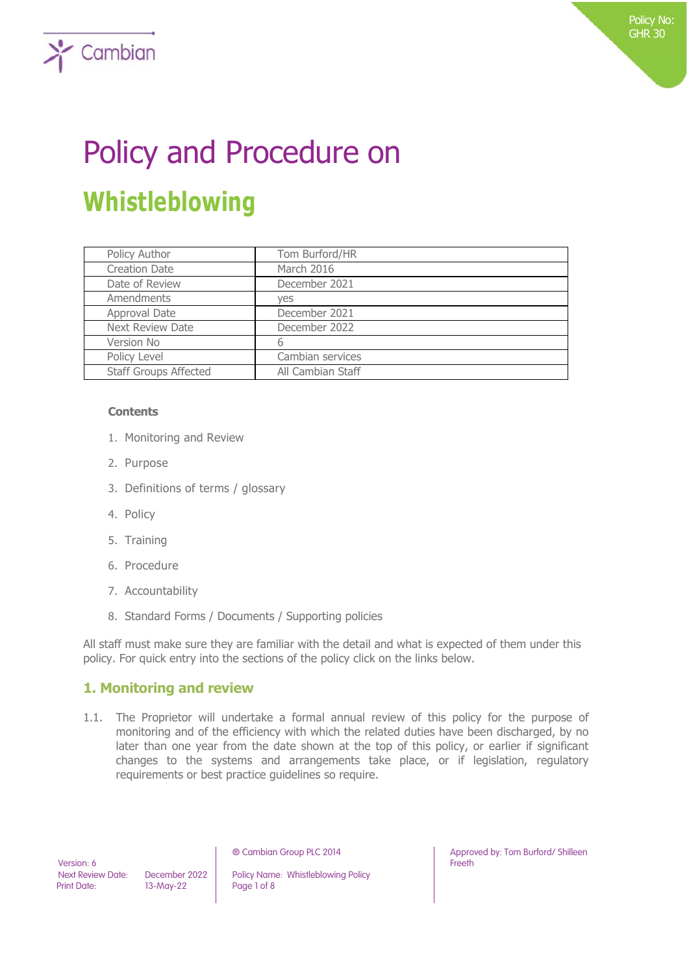# Policy and Procedure on **Whistleblowing**

| Policy Author                | Tom Burford/HR    |
|------------------------------|-------------------|
| <b>Creation Date</b>         | March 2016        |
| Date of Review               | December 2021     |
| Amendments                   | yes               |
| Approval Date                | December 2021     |
| <b>Next Review Date</b>      | December 2022     |
| Version No                   | b                 |
| Policy Level                 | Cambian services  |
| <b>Staff Groups Affected</b> | All Cambian Staff |

#### **Contents**

 $\sum$  Cambian

- 1. Monitoring and Review
- 2. Purpose
- 3. Definitions of terms / glossary
- 4. Policy
- 5. Training
- 6. Procedure
- 7. Accountability
- 8. Standard Forms / Documents / Supporting policies

All staff must make sure they are familiar with the detail and what is expected of them under this policy. For quick entry into the sections of the policy click on the links below.

## **1. Monitoring and review**

1.1. The Proprietor will undertake a formal annual review of this policy for the purpose of monitoring and of the efficiency with which the related duties have been discharged, by no later than one year from the date shown at the top of this policy, or earlier if significant changes to the systems and arrangements take place, or if legislation, regulatory requirements or best practice guidelines so require.

Version: 6<br>Next Review Date:

Print Date: 13-May-22 Page 1 of 8

December 2022 | Policy Name: Whistleblowing Policy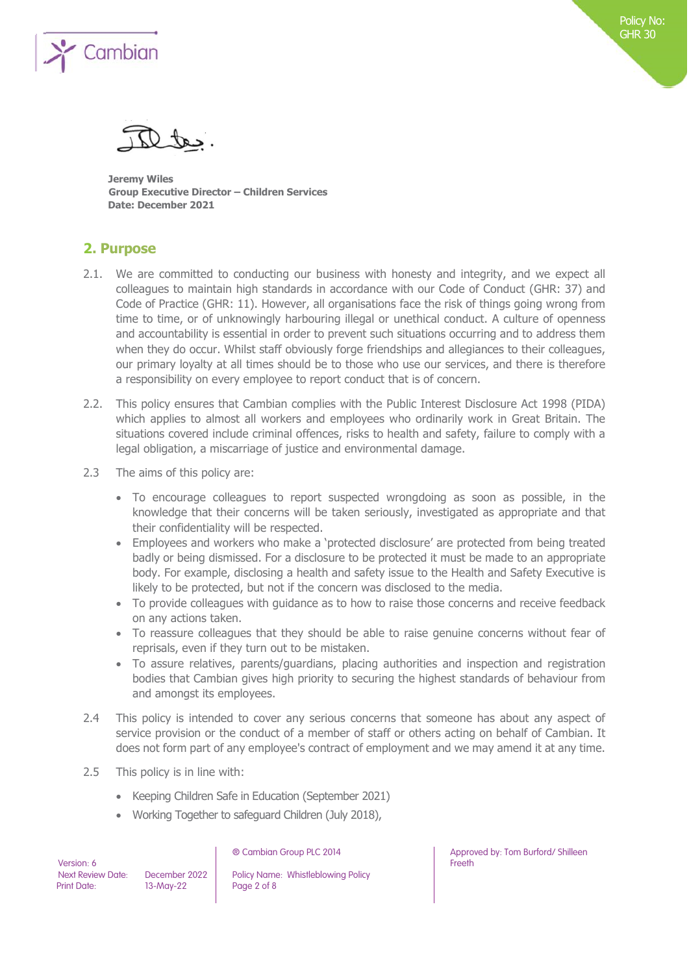

**Jeremy Wiles Group Executive Director – Children Services Date: December 2021**

## **2. Purpose**

- 2.1. We are committed to conducting our business with honesty and integrity, and we expect all colleagues to maintain high standards in accordance with our Code of Conduct (GHR: 37) and Code of Practice (GHR: 11). However, all organisations face the risk of things going wrong from time to time, or of unknowingly harbouring illegal or unethical conduct. A culture of openness and accountability is essential in order to prevent such situations occurring and to address them when they do occur. Whilst staff obviously forge friendships and allegiances to their colleagues, our primary loyalty at all times should be to those who use our services, and there is therefore a responsibility on every employee to report conduct that is of concern.
- 2.2. This policy ensures that Cambian complies with the Public Interest Disclosure Act 1998 (PIDA) which applies to almost all workers and employees who ordinarily work in Great Britain. The situations covered include criminal offences, risks to health and safety, failure to comply with a legal obligation, a miscarriage of justice and environmental damage.
- 2.3 The aims of this policy are:
	- To encourage colleagues to report suspected wrongdoing as soon as possible, in the knowledge that their concerns will be taken seriously, investigated as appropriate and that their confidentiality will be respected.
	- Employees and workers who make a 'protected disclosure' are protected from being treated badly or being dismissed. For a disclosure to be protected it must be made to an appropriate body. For example, disclosing a health and safety issue to the Health and Safety Executive is likely to be protected, but not if the concern was disclosed to the media.
	- To provide colleagues with guidance as to how to raise those concerns and receive feedback on any actions taken.
	- To reassure colleagues that they should be able to raise genuine concerns without fear of reprisals, even if they turn out to be mistaken.
	- To assure relatives, parents/guardians, placing authorities and inspection and registration bodies that Cambian gives high priority to securing the highest standards of behaviour from and amongst its employees.
- 2.4 This policy is intended to cover any serious concerns that someone has about any aspect of service provision or the conduct of a member of staff or others acting on behalf of Cambian. It does not form part of any employee's contract of employment and we may amend it at any time.
- 2.5 This policy is in line with:
	- Keeping Children Safe in Education (September 2021)
	- Working Together to safeguard Children (July 2018),

Version: 6<br>Next Review Date:

Next Review Date: December 2022 Policy Name: Whistleblowing Policy<br>
Print Date: 13-May-22 Page 2 of 8  $13-Mav-22$  Page 2 of 8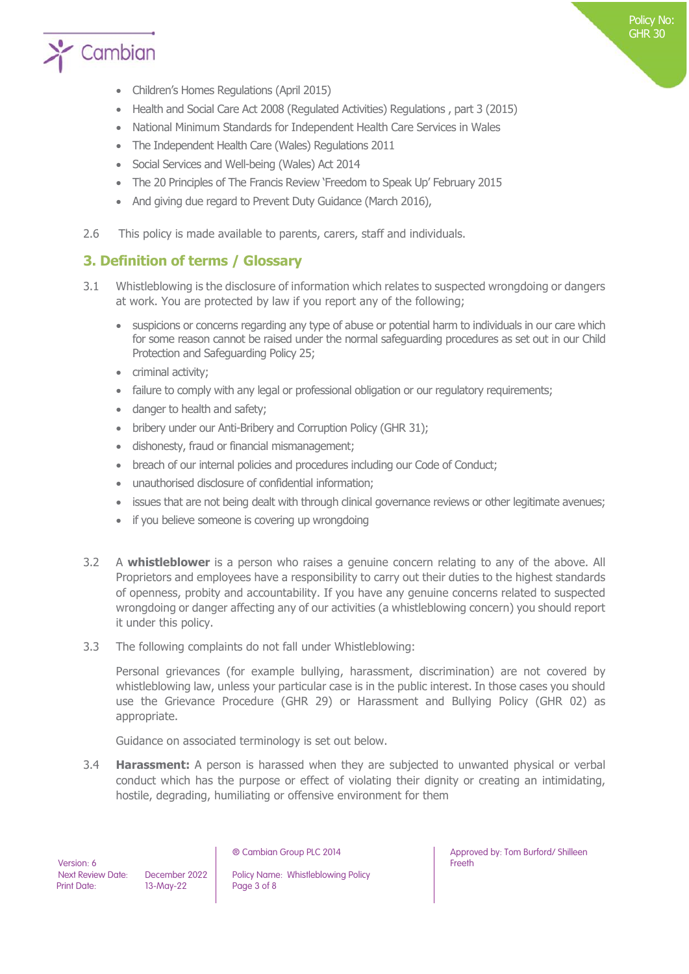

- Children's Homes Regulations (April 2015)
- Health and Social Care Act 2008 (Regulated Activities) Regulations , part 3 (2015)
- National Minimum Standards for Independent Health Care Services in Wales
- The Independent Health Care (Wales) Regulations 2011
- Social Services and Well-being (Wales) Act 2014
- The 20 Principles of The Francis Review 'Freedom to Speak Up' February 2015
- And giving due regard to Prevent Duty Guidance (March 2016),
- 2.6 This policy is made available to parents, carers, staff and individuals.

## **3. Definition of terms / Glossary**

- 3.1 Whistleblowing is the disclosure of information which relates to suspected wrongdoing or dangers at work. You are protected by law if you report any of the following;
	- suspicions or concerns regarding any type of abuse or potential harm to individuals in our care which for some reason cannot be raised under the normal safeguarding procedures as set out in our Child Protection and Safeguarding Policy 25;
	- criminal activity;
	- failure to comply with any legal or professional obligation or our regulatory requirements;
	- danger to health and safety;
	- bribery under our Anti-Bribery and Corruption Policy (GHR 31);
	- dishonesty, fraud or financial mismanagement;
	- breach of our internal policies and procedures including our Code of Conduct;
	- unauthorised disclosure of confidential information;
	- issues that are not being dealt with through clinical governance reviews or other legitimate avenues;
	- if you believe someone is covering up wrongdoing
- 3.2 A **whistleblower** is a person who raises a genuine concern relating to any of the above. All Proprietors and employees have a responsibility to carry out their duties to the highest standards of openness, probity and accountability. If you have any genuine concerns related to suspected wrongdoing or danger affecting any of our activities (a whistleblowing concern) you should report it under this policy.
- 3.3 The following complaints do not fall under Whistleblowing:

Personal grievances (for example bullying, harassment, discrimination) are not covered by whistleblowing law, unless your particular case is in the public interest. In those cases you should use the Grievance Procedure (GHR 29) or Harassment and Bullying Policy (GHR 02) as appropriate.

Guidance on associated terminology is set out below.

3.4 **Harassment:** A person is harassed when they are subjected to unwanted physical or verbal conduct which has the purpose or effect of violating their dignity or creating an intimidating, hostile, degrading, humiliating or offensive environment for them

December 2022 | Policy Name: Whistleblowing Policy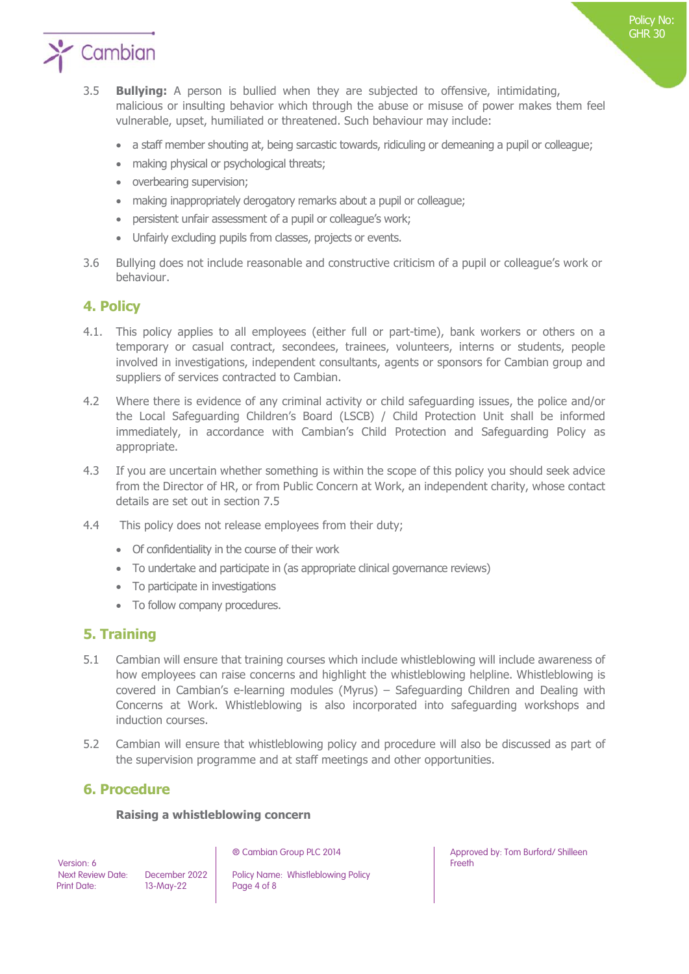

- 3.5 **Bullying:** A person is bullied when they are subjected to offensive, intimidating, malicious or insulting behavior which through the abuse or misuse of power makes them feel vulnerable, upset, humiliated or threatened. Such behaviour may include:
	- a staff member shouting at, being sarcastic towards, ridiculing or demeaning a pupil or colleague;
	- making physical or psychological threats;
	- overbearing supervision;
	- making inappropriately derogatory remarks about a pupil or colleague;
	- persistent unfair assessment of a pupil or colleague's work;
	- Unfairly excluding pupils from classes, projects or events.
- 3.6 Bullying does not include reasonable and constructive criticism of a pupil or colleague's work or behaviour.

## **4. Policy**

- 4.1. This policy applies to all employees (either full or part-time), bank workers or others on a temporary or casual contract, secondees, trainees, volunteers, interns or students, people involved in investigations, independent consultants, agents or sponsors for Cambian group and suppliers of services contracted to Cambian.
- 4.2 Where there is evidence of any criminal activity or child safeguarding issues, the police and/or the Local Safeguarding Children's Board (LSCB) / Child Protection Unit shall be informed immediately, in accordance with Cambian's Child Protection and Safeguarding Policy as appropriate.
- 4.3 If you are uncertain whether something is within the scope of this policy you should seek advice from the Director of HR, or from Public Concern at Work, an independent charity, whose contact details are set out in section 7.5
- 4.4 This policy does not release employees from their duty;
	- Of confidentiality in the course of their work
	- To undertake and participate in (as appropriate clinical governance reviews)
	- To participate in investigations
	- To follow company procedures.

## **5. Training**

- 5.1 Cambian will ensure that training courses which include whistleblowing will include awareness of how employees can raise concerns and highlight the whistleblowing helpline. Whistleblowing is covered in Cambian's e-learning modules (Myrus) – Safeguarding Children and Dealing with Concerns at Work. Whistleblowing is also incorporated into safeguarding workshops and induction courses.
- 5.2 Cambian will ensure that whistleblowing policy and procedure will also be discussed as part of the supervision programme and at staff meetings and other opportunities.

## **6. Procedure**

#### **Raising a whistleblowing concern**

Version: 6<br>Next Review Date: Print Date: 13-May-22 Page 4 of 8

December 2022 | Policy Name: Whistleblowing Policy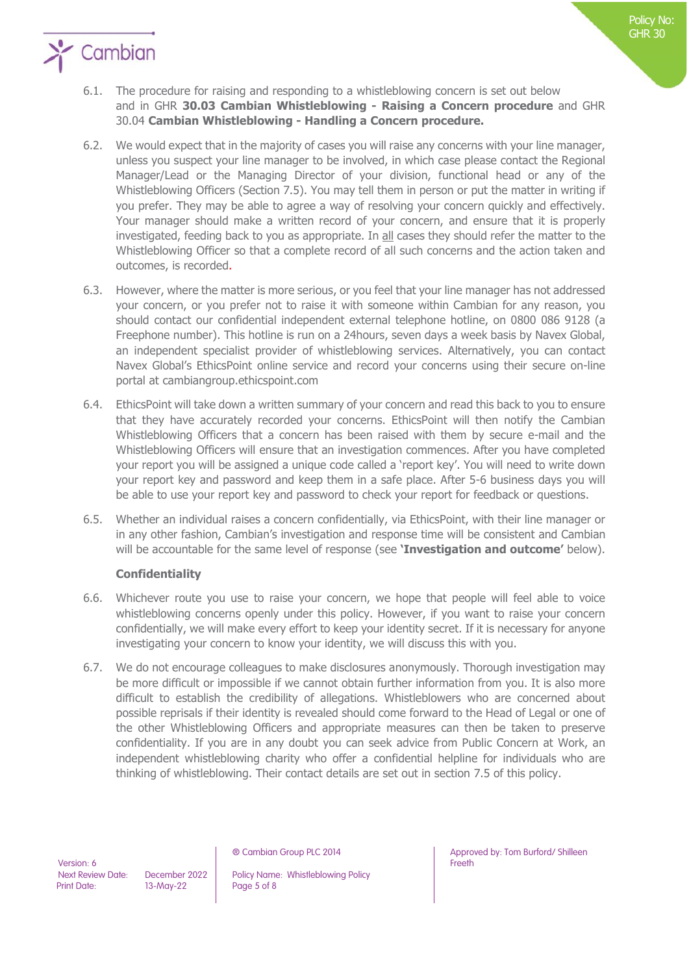

- 6.1. The procedure for raising and responding to a whistleblowing concern is set out below and in GHR **30.03 Cambian Whistleblowing - Raising a Concern procedure** and GHR 30.04 **Cambian Whistleblowing - Handling a Concern procedure.**
- 6.2. We would expect that in the majority of cases you will raise any concerns with your line manager, unless you suspect your line manager to be involved, in which case please contact the Regional Manager/Lead or the Managing Director of your division, functional head or any of the Whistleblowing Officers (Section 7.5). You may tell them in person or put the matter in writing if you prefer. They may be able to agree a way of resolving your concern quickly and effectively. Your manager should make a written record of your concern, and ensure that it is properly investigated, feeding back to you as appropriate. In all cases they should refer the matter to the Whistleblowing Officer so that a complete record of all such concerns and the action taken and outcomes, is recorded.
- 6.3. However, where the matter is more serious, or you feel that your line manager has not addressed your concern, or you prefer not to raise it with someone within Cambian for any reason, you should contact our confidential independent external telephone hotline, on 0800 086 9128 (a Freephone number). This hotline is run on a 24hours, seven days a week basis by Navex Global, an independent specialist provider of whistleblowing services. Alternatively, you can contact Navex Global's EthicsPoint online service and record your concerns using their secure on-line portal at cambiangroup.ethicspoint.com
- 6.4. EthicsPoint will take down a written summary of your concern and read this back to you to ensure that they have accurately recorded your concerns. EthicsPoint will then notify the Cambian Whistleblowing Officers that a concern has been raised with them by secure e-mail and the Whistleblowing Officers will ensure that an investigation commences. After you have completed your report you will be assigned a unique code called a 'report key'. You will need to write down your report key and password and keep them in a safe place. After 5-6 business days you will be able to use your report key and password to check your report for feedback or questions.
- 6.5. Whether an individual raises a concern confidentially, via EthicsPoint, with their line manager or in any other fashion, Cambian's investigation and response time will be consistent and Cambian will be accountable for the same level of response (see **'Investigation and outcome'** below).

### **Confidentiality**

- 6.6. Whichever route you use to raise your concern, we hope that people will feel able to voice whistleblowing concerns openly under this policy. However, if you want to raise your concern confidentially, we will make every effort to keep your identity secret. If it is necessary for anyone investigating your concern to know your identity, we will discuss this with you.
- 6.7. We do not encourage colleagues to make disclosures anonymously. Thorough investigation may be more difficult or impossible if we cannot obtain further information from you. It is also more difficult to establish the credibility of allegations. Whistleblowers who are concerned about possible reprisals if their identity is revealed should come forward to the Head of Legal or one of the other Whistleblowing Officers and appropriate measures can then be taken to preserve confidentiality. If you are in any doubt you can seek advice from Public Concern at Work, an independent whistleblowing charity who offer a confidential helpline for individuals who are thinking of whistleblowing. Their contact details are set out in section 7.5 of this policy.

Next Review Date: December 2022 | Policy Name: Whistleblowing Policy

® Cambian Group PLC 2014 Approved by: Tom Burford/ Shilleen Freeth

Policy No: GHR 30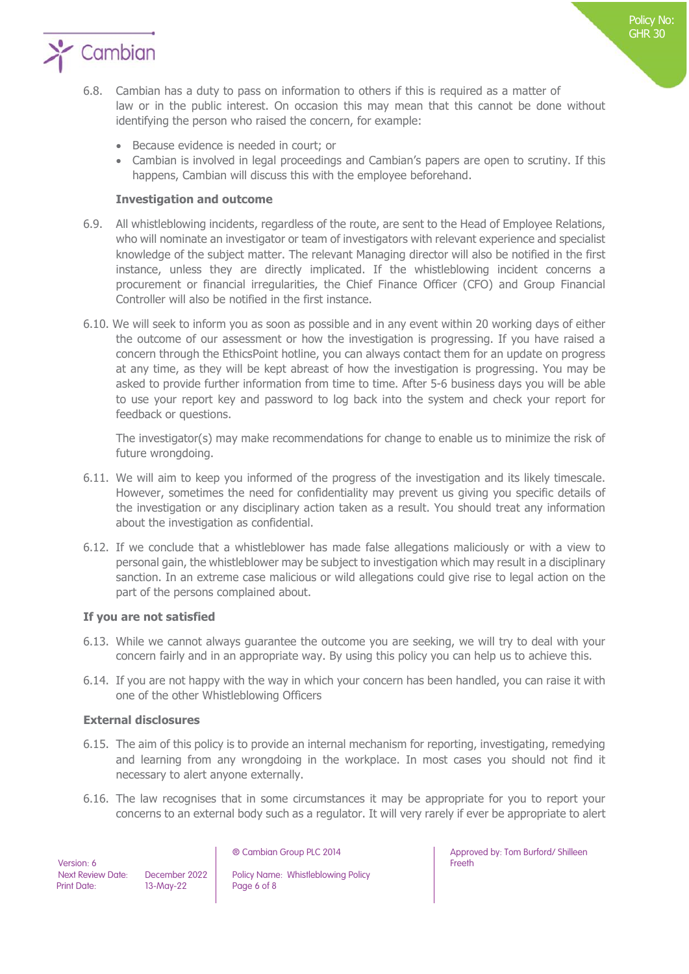

- 6.8. Cambian has a duty to pass on information to others if this is required as a matter of law or in the public interest. On occasion this may mean that this cannot be done without identifying the person who raised the concern, for example:
	- Because evidence is needed in court; or
	- Cambian is involved in legal proceedings and Cambian's papers are open to scrutiny. If this happens, Cambian will discuss this with the employee beforehand.

#### **Investigation and outcome**

- 6.9. All whistleblowing incidents, regardless of the route, are sent to the Head of Employee Relations, who will nominate an investigator or team of investigators with relevant experience and specialist knowledge of the subject matter. The relevant Managing director will also be notified in the first instance, unless they are directly implicated. If the whistleblowing incident concerns a procurement or financial irregularities, the Chief Finance Officer (CFO) and Group Financial Controller will also be notified in the first instance.
- 6.10. We will seek to inform you as soon as possible and in any event within 20 working days of either the outcome of our assessment or how the investigation is progressing. If you have raised a concern through the EthicsPoint hotline, you can always contact them for an update on progress at any time, as they will be kept abreast of how the investigation is progressing. You may be asked to provide further information from time to time. After 5-6 business days you will be able to use your report key and password to log back into the system and check your report for feedback or questions.

The investigator(s) may make recommendations for change to enable us to minimize the risk of future wrongdoing.

- 6.11. We will aim to keep you informed of the progress of the investigation and its likely timescale. However, sometimes the need for confidentiality may prevent us giving you specific details of the investigation or any disciplinary action taken as a result. You should treat any information about the investigation as confidential.
- 6.12. If we conclude that a whistleblower has made false allegations maliciously or with a view to personal gain, the whistleblower may be subject to investigation which may result in a disciplinary sanction. In an extreme case malicious or wild allegations could give rise to legal action on the part of the persons complained about.

#### **If you are not satisfied**

- 6.13. While we cannot always guarantee the outcome you are seeking, we will try to deal with your concern fairly and in an appropriate way. By using this policy you can help us to achieve this.
- 6.14. If you are not happy with the way in which your concern has been handled, you can raise it with one of the other Whistleblowing Officers

#### **External disclosures**

- 6.15. The aim of this policy is to provide an internal mechanism for reporting, investigating, remedying and learning from any wrongdoing in the workplace. In most cases you should not find it necessary to alert anyone externally.
- 6.16. The law recognises that in some circumstances it may be appropriate for you to report your concerns to an external body such as a regulator. It will very rarely if ever be appropriate to alert

Version: 6<br>Next Review Date: Print Date: 13-May-22 Page 6 of 8

December 2022 | Policy Name: Whistleblowing Policy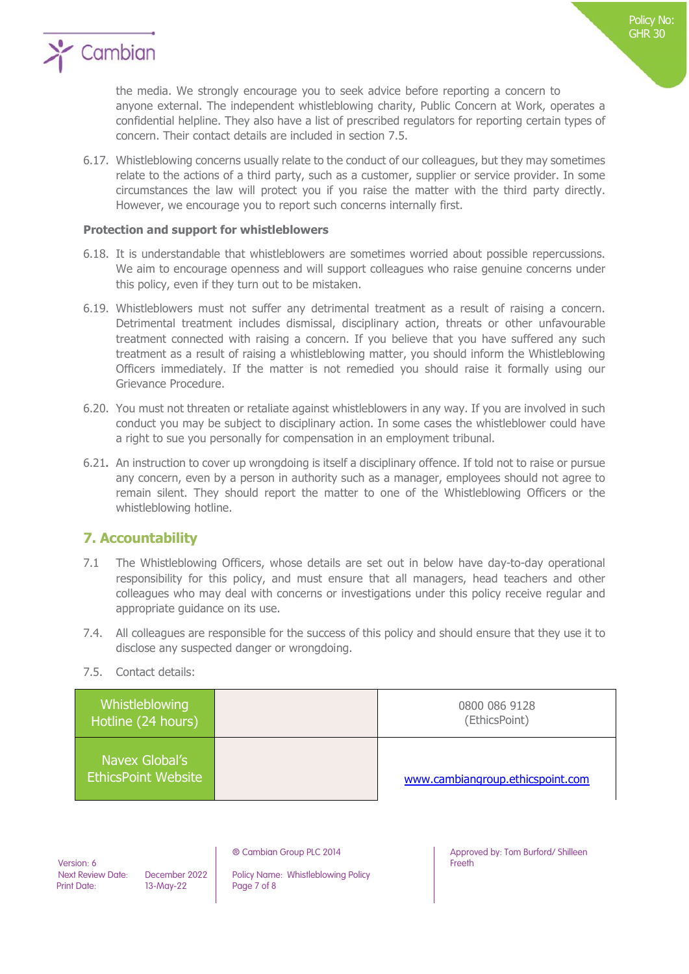

the media. We strongly encourage you to seek advice before reporting a concern to anyone external. The independent whistleblowing charity, Public Concern at Work, operates a confidential helpline. They also have a list of prescribed regulators for reporting certain types of concern. Their contact details are included in section 7.5.

6.17. Whistleblowing concerns usually relate to the conduct of our colleagues, but they may sometimes relate to the actions of a third party, such as a customer, supplier or service provider. In some circumstances the law will protect you if you raise the matter with the third party directly. However, we encourage you to report such concerns internally first.

#### **Protection and support for whistleblowers**

- 6.18. It is understandable that whistleblowers are sometimes worried about possible repercussions. We aim to encourage openness and will support colleagues who raise genuine concerns under this policy, even if they turn out to be mistaken.
- 6.19. Whistleblowers must not suffer any detrimental treatment as a result of raising a concern. Detrimental treatment includes dismissal, disciplinary action, threats or other unfavourable treatment connected with raising a concern. If you believe that you have suffered any such treatment as a result of raising a whistleblowing matter, you should inform the Whistleblowing Officers immediately. If the matter is not remedied you should raise it formally using our Grievance Procedure.
- 6.20. You must not threaten or retaliate against whistleblowers in any way. If you are involved in such conduct you may be subject to disciplinary action. In some cases the whistleblower could have a right to sue you personally for compensation in an employment tribunal.
- 6.21**.** An instruction to cover up wrongdoing is itself a disciplinary offence. If told not to raise or pursue any concern, even by a person in authority such as a manager, employees should not agree to remain silent. They should report the matter to one of the Whistleblowing Officers or the whistleblowing hotline.

## **7. Accountability**

- 7.1 The Whistleblowing Officers, whose details are set out in below have day-to-day operational responsibility for this policy, and must ensure that all managers, head teachers and other colleagues who may deal with concerns or investigations under this policy receive regular and appropriate guidance on its use.
- 7.4. All colleagues are responsible for the success of this policy and should ensure that they use it to disclose any suspected danger or wrongdoing.
- 7.5. Contact details:

| Whistleblowing<br>Hotline (24 hours)         | 0800 086 9128<br>(EthicsPoint)   |
|----------------------------------------------|----------------------------------|
| Navex Global's<br><b>EthicsPoint Website</b> | www.cambiangroup.ethicspoint.com |

Version: 6<br>Next Review Date: Print Date: 13-May-22 Page 7 of 8

December 2022 | Policy Name: Whistleblowing Policy

® Cambian Group PLC 2014 Approved by: Tom Burford/ Shilleen Freeth

Policy No: GHR 30